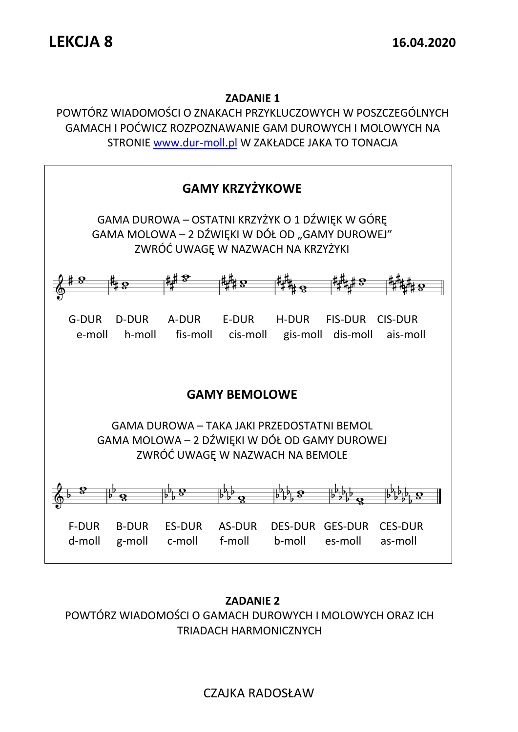#### **ZADANIE 1**

POWTÓRZ WIADOMOŚCI O ZNAKACH PRZYKLUCZOWYCH W POSZCZEGÓLNYCH GAMACH I POĆWICZ ROZPOZNAWANIE GAM DUROWYCH I MOLOWYCH NA STRONIE [www.dur-moll.pl](http://www.dur-moll.pl/) W ZAKŁADCE JAKA TO TONACJA



**ZADANIE 2** POWTÓRZ WIADOMOŚCI O GAMACH DUROWYCH I MOLOWYCH ORAZ ICH TRIADACH HARMONICZNYCH

# CZAJKA RADOSŁAW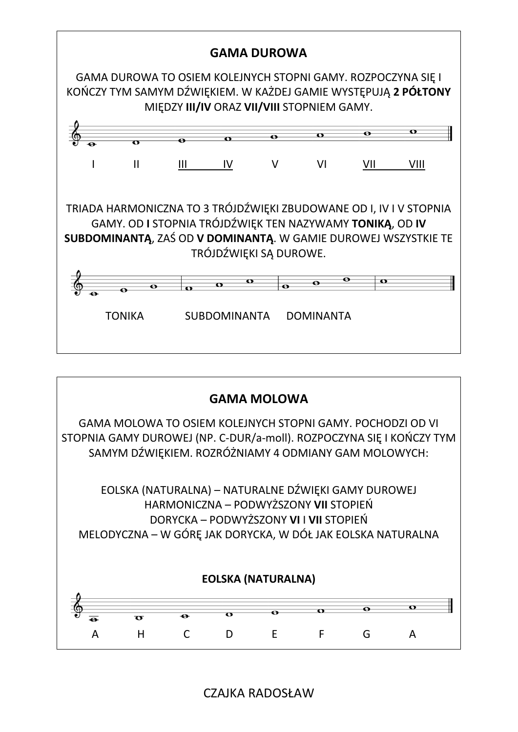



CZAJKA RADOSŁAW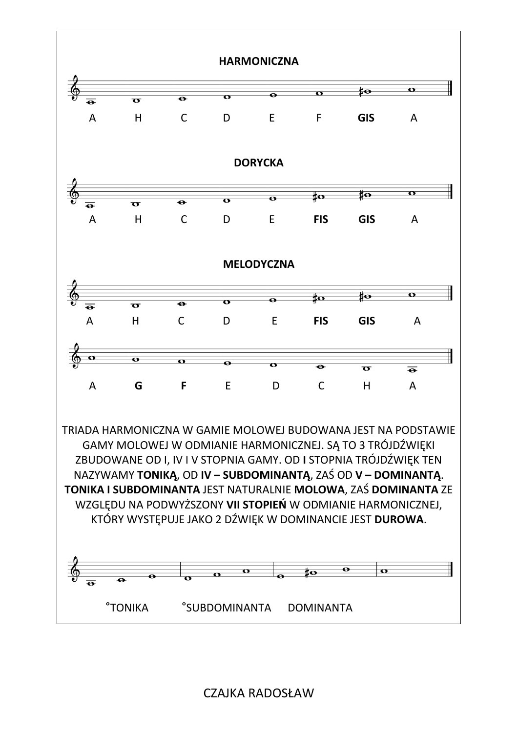

## CZAJKA RADOSŁAW